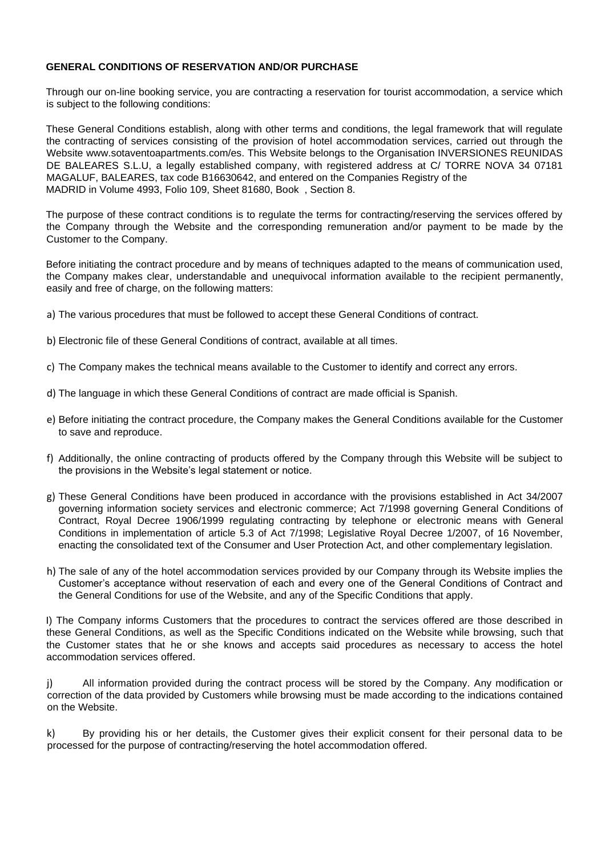# **GENERAL CONDITIONS OF RESERVATION AND/OR PURCHASE**

Through our on-line booking service, you are contracting a reservation for tourist accommodation, a service which is subject to the following conditions:

These General Conditions establish, along with other terms and conditions, the legal framework that will regulate the contracting of services consisting of the provision of hotel accommodation services, carried out through the Website www.sotaventoapartments.com/es. This Website belongs to the Organisation INVERSIONES REUNIDAS DE BALEARES S.L.U, a legally established company, with registered address at C/ TORRE NOVA 34 07181 MAGALUF, BALEARES, tax code B16630642, and entered on the Companies Registry of the MADRID in Volume 4993, Folio 109, Sheet 81680, Book , Section 8.

The purpose of these contract conditions is to regulate the terms for contracting/reserving the services offered by the Company through the Website and the corresponding remuneration and/or payment to be made by the Customer to the Company.

Before initiating the contract procedure and by means of techniques adapted to the means of communication used, the Company makes clear, understandable and unequivocal information available to the recipient permanently, easily and free of charge, on the following matters:

- a) The various procedures that must be followed to accept these General Conditions of contract.
- b) Electronic file of these General Conditions of contract, available at all times.
- c) The Company makes the technical means available to the Customer to identify and correct any errors.
- d) The language in which these General Conditions of contract are made official is Spanish.
- e) Before initiating the contract procedure, the Company makes the General Conditions available for the Customer to save and reproduce.
- f) Additionally, the online contracting of products offered by the Company through this Website will be subject to the provisions in the Website's legal statement or notice.
- g) These General Conditions have been produced in accordance with the provisions established in Act 34/2007 governing information society services and electronic commerce; Act 7/1998 governing General Conditions of Contract, Royal Decree 1906/1999 regulating contracting by telephone or electronic means with General Conditions in implementation of article 5.3 of Act 7/1998; Legislative Royal Decree 1/2007, of 16 November, enacting the consolidated text of the Consumer and User Protection Act, and other complementary legislation.
- h) The sale of any of the hotel accommodation services provided by our Company through its Website implies the Customer's acceptance without reservation of each and every one of the General Conditions of Contract and the General Conditions for use of the Website, and any of the Specific Conditions that apply.

I) The Company informs Customers that the procedures to contract the services offered are those described in these General Conditions, as well as the Specific Conditions indicated on the Website while browsing, such that the Customer states that he or she knows and accepts said procedures as necessary to access the hotel accommodation services offered.

j) All information provided during the contract process will be stored by the Company. Any modification or correction of the data provided by Customers while browsing must be made according to the indications contained on the Website.

k) By providing his or her details, the Customer gives their explicit consent for their personal data to be processed for the purpose of contracting/reserving the hotel accommodation offered.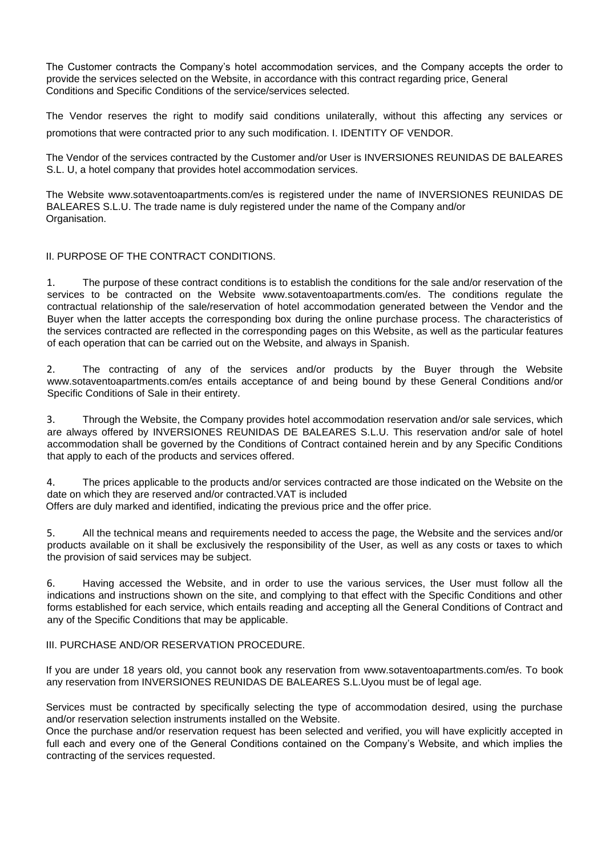The Customer contracts the Company's hotel accommodation services, and the Company accepts the order to provide the services selected on the Website, in accordance with this contract regarding price, General Conditions and Specific Conditions of the service/services selected.

The Vendor reserves the right to modify said conditions unilaterally, without this affecting any services or promotions that were contracted prior to any such modification. I. IDENTITY OF VENDOR.

The Vendor of the services contracted by the Customer and/or User is INVERSIONES REUNIDAS DE BALEARES S.L. U, a hotel company that provides hotel accommodation services.

The Website www.sotaventoapartments.com/es is registered under the name of INVERSIONES REUNIDAS DE BALEARES S.L.U. The trade name is duly registered under the name of the Company and/or Organisation.

## II. PURPOSE OF THE CONTRACT CONDITIONS.

1. The purpose of these contract conditions is to establish the conditions for the sale and/or reservation of the services to be contracted on the Website www.sotaventoapartments.com/es. The conditions regulate the contractual relationship of the sale/reservation of hotel accommodation generated between the Vendor and the Buyer when the latter accepts the corresponding box during the online purchase process. The characteristics of the services contracted are reflected in the corresponding pages on this Website, as well as the particular features of each operation that can be carried out on the Website, and always in Spanish.

2. The contracting of any of the services and/or products by the Buyer through the Website www.sotaventoapartments.com/es entails acceptance of and being bound by these General Conditions and/or Specific Conditions of Sale in their entirety.

3. Through the Website, the Company provides hotel accommodation reservation and/or sale services, which are always offered by INVERSIONES REUNIDAS DE BALEARES S.L.U. This reservation and/or sale of hotel accommodation shall be governed by the Conditions of Contract contained herein and by any Specific Conditions that apply to each of the products and services offered.

4. The prices applicable to the products and/or services contracted are those indicated on the Website on the date on which they are reserved and/or contracted.VAT is included

Offers are duly marked and identified, indicating the previous price and the offer price.

5. All the technical means and requirements needed to access the page, the Website and the services and/or products available on it shall be exclusively the responsibility of the User, as well as any costs or taxes to which the provision of said services may be subject.

6. Having accessed the Website, and in order to use the various services, the User must follow all the indications and instructions shown on the site, and complying to that effect with the Specific Conditions and other forms established for each service, which entails reading and accepting all the General Conditions of Contract and any of the Specific Conditions that may be applicable.

#### III. PURCHASE AND/OR RESERVATION PROCEDURE.

If you are under 18 years old, you cannot book any reservation from www.sotaventoapartments.com/es. To book any reservation from INVERSIONES REUNIDAS DE BALEARES S.L.Uyou must be of legal age.

Services must be contracted by specifically selecting the type of accommodation desired, using the purchase and/or reservation selection instruments installed on the Website.

Once the purchase and/or reservation request has been selected and verified, you will have explicitly accepted in full each and every one of the General Conditions contained on the Company's Website, and which implies the contracting of the services requested.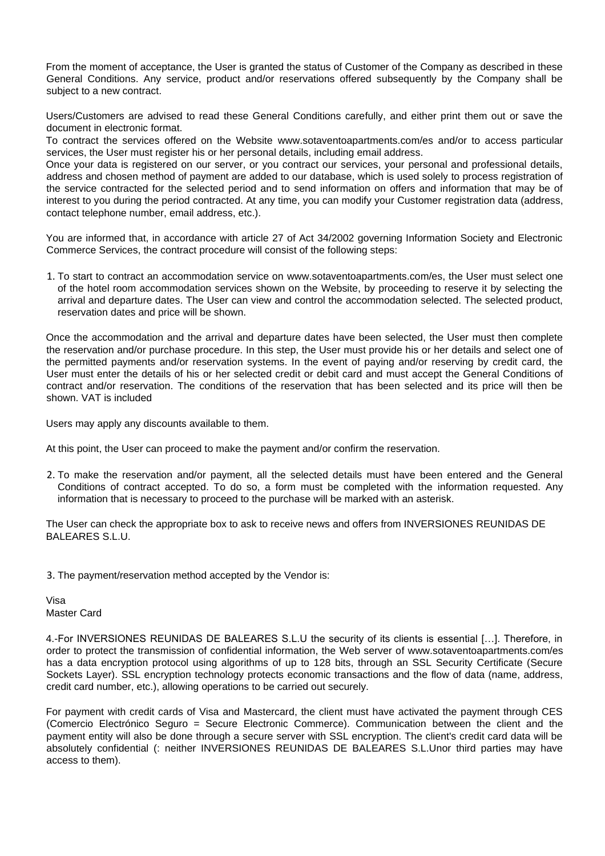From the moment of acceptance, the User is granted the status of Customer of the Company as described in these General Conditions. Any service, product and/or reservations offered subsequently by the Company shall be subject to a new contract.

Users/Customers are advised to read these General Conditions carefully, and either print them out or save the document in electronic format.

To contract the services offered on the Website www.sotaventoapartments.com/es and/or to access particular services, the User must register his or her personal details, including email address.

Once your data is registered on our server, or you contract our services, your personal and professional details, address and chosen method of payment are added to our database, which is used solely to process registration of the service contracted for the selected period and to send information on offers and information that may be of interest to you during the period contracted. At any time, you can modify your Customer registration data (address, contact telephone number, email address, etc.).

You are informed that, in accordance with article 27 of Act 34/2002 governing Information Society and Electronic Commerce Services, the contract procedure will consist of the following steps:

1. To start to contract an accommodation service on www.sotaventoapartments.com/es, the User must select one of the hotel room accommodation services shown on the Website, by proceeding to reserve it by selecting the arrival and departure dates. The User can view and control the accommodation selected. The selected product, reservation dates and price will be shown.

Once the accommodation and the arrival and departure dates have been selected, the User must then complete the reservation and/or purchase procedure. In this step, the User must provide his or her details and select one of the permitted payments and/or reservation systems. In the event of paying and/or reserving by credit card, the User must enter the details of his or her selected credit or debit card and must accept the General Conditions of contract and/or reservation. The conditions of the reservation that has been selected and its price will then be shown. VAT is included

Users may apply any discounts available to them.

At this point, the User can proceed to make the payment and/or confirm the reservation.

2. To make the reservation and/or payment, all the selected details must have been entered and the General Conditions of contract accepted. To do so, a form must be completed with the information requested. Any information that is necessary to proceed to the purchase will be marked with an asterisk.

The User can check the appropriate box to ask to receive news and offers from INVERSIONES REUNIDAS DE BALEARES S.L.U.

3. The payment/reservation method accepted by the Vendor is:

Visa Master Card

4.-For INVERSIONES REUNIDAS DE BALEARES S.L.U the security of its clients is essential […]. Therefore, in order to protect the transmission of confidential information, the Web server of www.sotaventoapartments.com/es has a data encryption protocol using algorithms of up to 128 bits, through an SSL Security Certificate (Secure Sockets Layer). SSL encryption technology protects economic transactions and the flow of data (name, address, credit card number, etc.), allowing operations to be carried out securely.

For payment with credit cards of Visa and Mastercard, the client must have activated the payment through CES (Comercio Electrónico Seguro = Secure Electronic Commerce). Communication between the client and the payment entity will also be done through a secure server with SSL encryption. The client's credit card data will be absolutely confidential (: neither INVERSIONES REUNIDAS DE BALEARES S.L.Unor third parties may have access to them).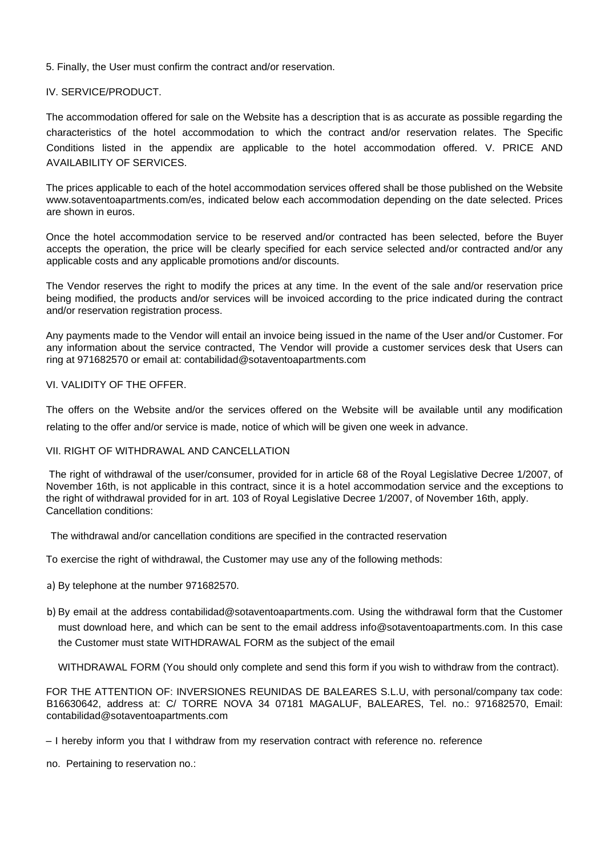## 5. Finally, the User must confirm the contract and/or reservation.

## IV. SERVICE/PRODUCT.

The accommodation offered for sale on the Website has a description that is as accurate as possible regarding the characteristics of the hotel accommodation to which the contract and/or reservation relates. The Specific Conditions listed in the appendix are applicable to the hotel accommodation offered. V. PRICE AND AVAILABILITY OF SERVICES.

The prices applicable to each of the hotel accommodation services offered shall be those published on the Website www.sotaventoapartments.com/es, indicated below each accommodation depending on the date selected. Prices are shown in euros.

Once the hotel accommodation service to be reserved and/or contracted has been selected, before the Buyer accepts the operation, the price will be clearly specified for each service selected and/or contracted and/or any applicable costs and any applicable promotions and/or discounts.

The Vendor reserves the right to modify the prices at any time. In the event of the sale and/or reservation price being modified, the products and/or services will be invoiced according to the price indicated during the contract and/or reservation registration process.

Any payments made to the Vendor will entail an invoice being issued in the name of the User and/or Customer. For any information about the service contracted, The Vendor will provide a customer services desk that Users can ring at 971682570 or email at: contabilidad@sotaventoapartments.com

## VI. VALIDITY OF THE OFFER.

The offers on the Website and/or the services offered on the Website will be available until any modification relating to the offer and/or service is made, notice of which will be given one week in advance.

#### VII. RIGHT OF WITHDRAWAL AND CANCELLATION

The right of withdrawal of the user/consumer, provided for in article 68 of the Royal Legislative Decree 1/2007, of November 16th, is not applicable in this contract, since it is a hotel accommodation service and the exceptions to the right of withdrawal provided for in art. 103 of Royal Legislative Decree 1/2007, of November 16th, apply. Cancellation conditions:

The withdrawal and/or cancellation conditions are specified in the contracted reservation

To exercise the right of withdrawal, the Customer may use any of the following methods:

- a) By telephone at the number 971682570.
- b) By email at the address contabilidad@sotaventoapartments.com. Using the withdrawal form that the Customer must download here, and which can be sent to the email address info@sotaventoapartments.com. In this case the Customer must state WITHDRAWAL FORM as the subject of the email

WITHDRAWAL FORM (You should only complete and send this form if you wish to withdraw from the contract).

FOR THE ATTENTION OF: INVERSIONES REUNIDAS DE BALEARES S.L.U, with personal/company tax code: B16630642, address at: C/ TORRE NOVA 34 07181 MAGALUF, BALEARES, Tel. no.: 971682570, Email: contabilidad@sotaventoapartments.com

no. Pertaining to reservation no.:

<sup>–</sup> I hereby inform you that I withdraw from my reservation contract with reference no. reference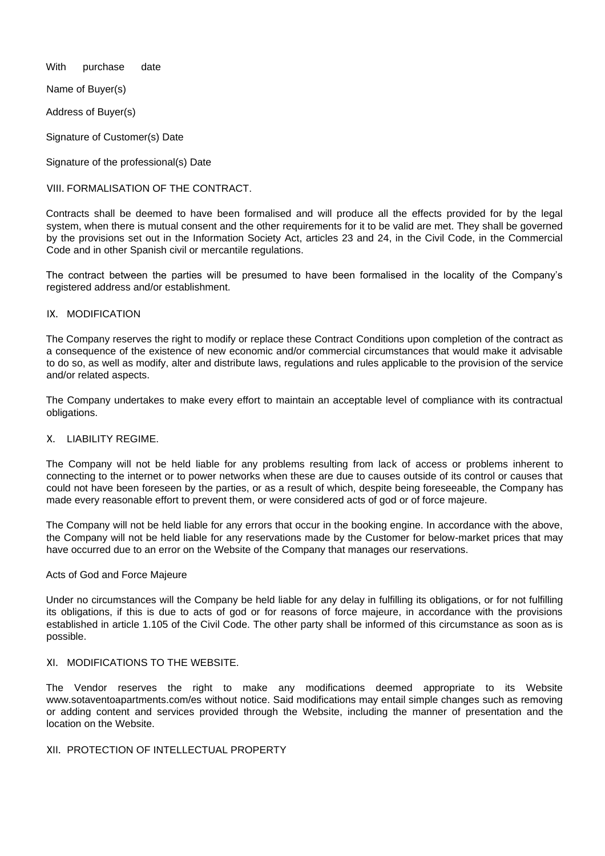With purchase date

Name of Buyer(s)

Address of Buyer(s)

Signature of Customer(s) Date

Signature of the professional(s) Date

VIII. FORMALISATION OF THE CONTRACT.

Contracts shall be deemed to have been formalised and will produce all the effects provided for by the legal system, when there is mutual consent and the other requirements for it to be valid are met. They shall be governed by the provisions set out in the Information Society Act, articles 23 and 24, in the Civil Code, in the Commercial Code and in other Spanish civil or mercantile regulations.

The contract between the parties will be presumed to have been formalised in the locality of the Company's registered address and/or establishment.

## IX. MODIFICATION

The Company reserves the right to modify or replace these Contract Conditions upon completion of the contract as a consequence of the existence of new economic and/or commercial circumstances that would make it advisable to do so, as well as modify, alter and distribute laws, regulations and rules applicable to the provision of the service and/or related aspects.

The Company undertakes to make every effort to maintain an acceptable level of compliance with its contractual obligations.

## X. LIABILITY REGIME.

The Company will not be held liable for any problems resulting from lack of access or problems inherent to connecting to the internet or to power networks when these are due to causes outside of its control or causes that could not have been foreseen by the parties, or as a result of which, despite being foreseeable, the Company has made every reasonable effort to prevent them, or were considered acts of god or of force majeure.

The Company will not be held liable for any errors that occur in the booking engine. In accordance with the above, the Company will not be held liable for any reservations made by the Customer for below-market prices that may have occurred due to an error on the Website of the Company that manages our reservations.

#### Acts of God and Force Majeure

Under no circumstances will the Company be held liable for any delay in fulfilling its obligations, or for not fulfilling its obligations, if this is due to acts of god or for reasons of force majeure, in accordance with the provisions established in article 1.105 of the Civil Code. The other party shall be informed of this circumstance as soon as is possible.

# XI. MODIFICATIONS TO THE WEBSITE.

The Vendor reserves the right to make any modifications deemed appropriate to its Website www.sotaventoapartments.com/es without notice. Said modifications may entail simple changes such as removing or adding content and services provided through the Website, including the manner of presentation and the location on the Website.

## XII. PROTECTION OF INTELLECTUAL PROPERTY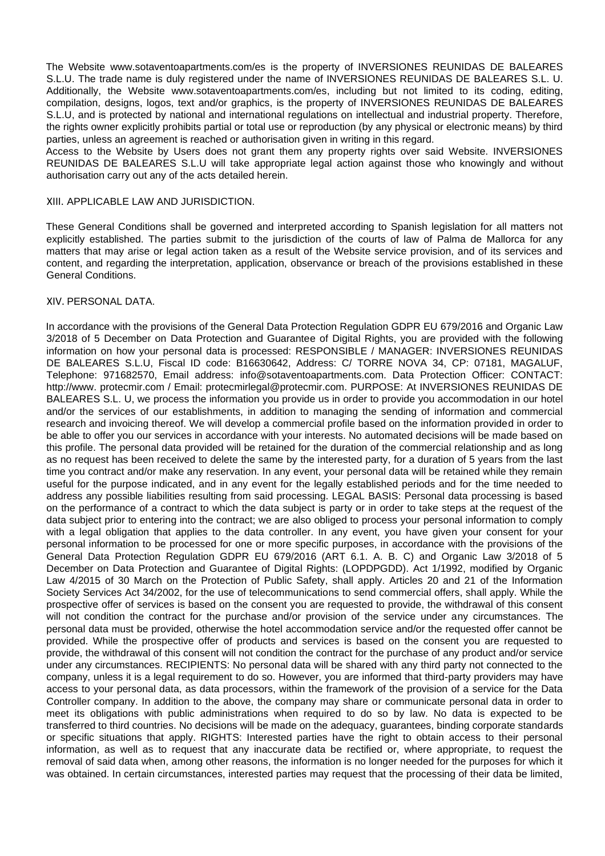The Website www.sotaventoapartments.com/es is the property of INVERSIONES REUNIDAS DE BALEARES S.L.U. The trade name is duly registered under the name of INVERSIONES REUNIDAS DE BALEARES S.L. U. Additionally, the Website www.sotaventoapartments.com/es, including but not limited to its coding, editing, compilation, designs, logos, text and/or graphics, is the property of INVERSIONES REUNIDAS DE BALEARES S.L.U, and is protected by national and international regulations on intellectual and industrial property. Therefore, the rights owner explicitly prohibits partial or total use or reproduction (by any physical or electronic means) by third parties, unless an agreement is reached or authorisation given in writing in this regard.

Access to the Website by Users does not grant them any property rights over said Website. INVERSIONES REUNIDAS DE BALEARES S.L.U will take appropriate legal action against those who knowingly and without authorisation carry out any of the acts detailed herein.

#### XIII. APPLICABLE LAW AND JURISDICTION.

These General Conditions shall be governed and interpreted according to Spanish legislation for all matters not explicitly established. The parties submit to the jurisdiction of the courts of law of Palma de Mallorca for any matters that may arise or legal action taken as a result of the Website service provision, and of its services and content, and regarding the interpretation, application, observance or breach of the provisions established in these General Conditions.

#### XIV. PERSONAL DATA.

In accordance with the provisions of the General Data Protection Regulation GDPR EU 679/2016 and Organic Law 3/2018 of 5 December on Data Protection and Guarantee of Digital Rights, you are provided with the following information on how your personal data is processed: RESPONSIBLE / MANAGER: INVERSIONES REUNIDAS DE BALEARES S.L.U, Fiscal ID code: B16630642, Address: C/ TORRE NOVA 34, CP: 07181, MAGALUF, Telephone: 971682570, Email address: info@sotaventoapartments.com. Data Protection Officer: CONTACT: http://www. protecmir.com / Email: protecmirlegal@protecmir.com. PURPOSE: At INVERSIONES REUNIDAS DE BALEARES S.L. U, we process the information you provide us in order to provide you accommodation in our hotel and/or the services of our establishments, in addition to managing the sending of information and commercial research and invoicing thereof. We will develop a commercial profile based on the information provided in order to be able to offer you our services in accordance with your interests. No automated decisions will be made based on this profile. The personal data provided will be retained for the duration of the commercial relationship and as long as no request has been received to delete the same by the interested party, for a duration of 5 years from the last time you contract and/or make any reservation. In any event, your personal data will be retained while they remain useful for the purpose indicated, and in any event for the legally established periods and for the time needed to address any possible liabilities resulting from said processing. LEGAL BASIS: Personal data processing is based on the performance of a contract to which the data subject is party or in order to take steps at the request of the data subject prior to entering into the contract; we are also obliged to process your personal information to comply with a legal obligation that applies to the data controller. In any event, you have given your consent for your personal information to be processed for one or more specific purposes, in accordance with the provisions of the General Data Protection Regulation GDPR EU 679/2016 (ART 6.1. A. B. C) and Organic Law 3/2018 of 5 December on Data Protection and Guarantee of Digital Rights: (LOPDPGDD). Act 1/1992, modified by Organic Law 4/2015 of 30 March on the Protection of Public Safety, shall apply. Articles 20 and 21 of the Information Society Services Act 34/2002, for the use of telecommunications to send commercial offers, shall apply. While the prospective offer of services is based on the consent you are requested to provide, the withdrawal of this consent will not condition the contract for the purchase and/or provision of the service under any circumstances. The personal data must be provided, otherwise the hotel accommodation service and/or the requested offer cannot be provided. While the prospective offer of products and services is based on the consent you are requested to provide, the withdrawal of this consent will not condition the contract for the purchase of any product and/or service under any circumstances. RECIPIENTS: No personal data will be shared with any third party not connected to the company, unless it is a legal requirement to do so. However, you are informed that third-party providers may have access to your personal data, as data processors, within the framework of the provision of a service for the Data Controller company. In addition to the above, the company may share or communicate personal data in order to meet its obligations with public administrations when required to do so by law. No data is expected to be transferred to third countries. No decisions will be made on the adequacy, guarantees, binding corporate standards or specific situations that apply. RIGHTS: Interested parties have the right to obtain access to their personal information, as well as to request that any inaccurate data be rectified or, where appropriate, to request the removal of said data when, among other reasons, the information is no longer needed for the purposes for which it was obtained. In certain circumstances, interested parties may request that the processing of their data be limited,